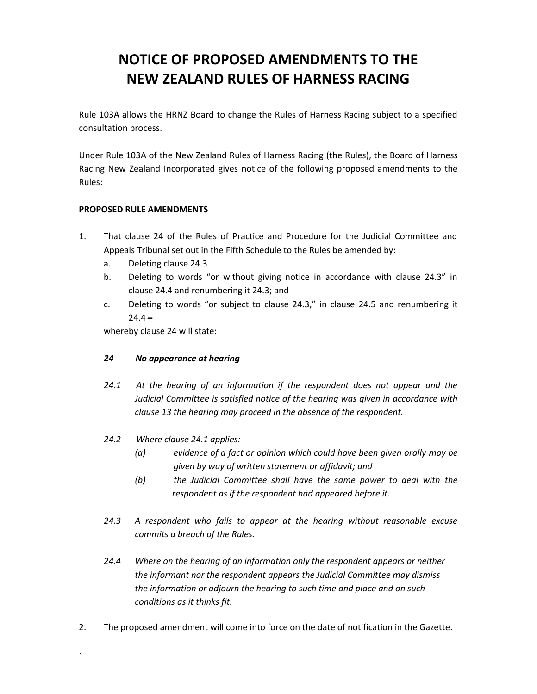# **NOTICE OF PROPOSED AMENDMENTS TO THE NEW ZEALAND RULES OF HARNESS RACING**

Rule 103A allows the HRNZ Board to change the Rules of Harness Racing subject to a specified consultation process.

Under Rule 103A of the New Zealand Rules of Harness Racing (the Rules), the Board of Harness Racing New Zealand Incorporated gives notice of the following proposed amendments to the Rules:

### **PROPOSED RULE AMENDMENTS**

- 1. That clause 24 of the Rules of Practice and Procedure for the Judicial Committee and Appeals Tribunal set out in the Fifth Schedule to the Rules be amended by:
	- a. Deleting clause 24.3
	- b. Deleting to words "or without giving notice in accordance with clause 24.3" in clause 24.4 and renumbering it 24.3; and
	- c. Deleting to words "or subject to clause 24.3," in clause 24.5 and renumbering it  $24.4 -$

whereby clause 24 will state:

## *24 No appearance at hearing*

- *24.1 At the hearing of an information if the respondent does not appear and the Judicial Committee is satisfied notice of the hearing was given in accordance with clause 13 the hearing may proceed in the absence of the respondent.*
- *24.2 Where clause 24.1 applies:*

 $\sum_{i=1}^n \alpha_i$ 

- *(a) evidence of a fact or opinion which could have been given orally may be given by way of written statement or affidavit; and*
- *(b) the Judicial Committee shall have the same power to deal with the respondent as if the respondent had appeared before it.*
- *24.3 A respondent who fails to appear at the hearing without reasonable excuse commits a breach of the Rules.*
- *24.4 Where on the hearing of an information only the respondent appears or neither the informant nor the respondent appears the Judicial Committee may dismiss the information or adjourn the hearing to such time and place and on such conditions as it thinks fit.*
- 2. The proposed amendment will come into force on the date of notification in the Gazette.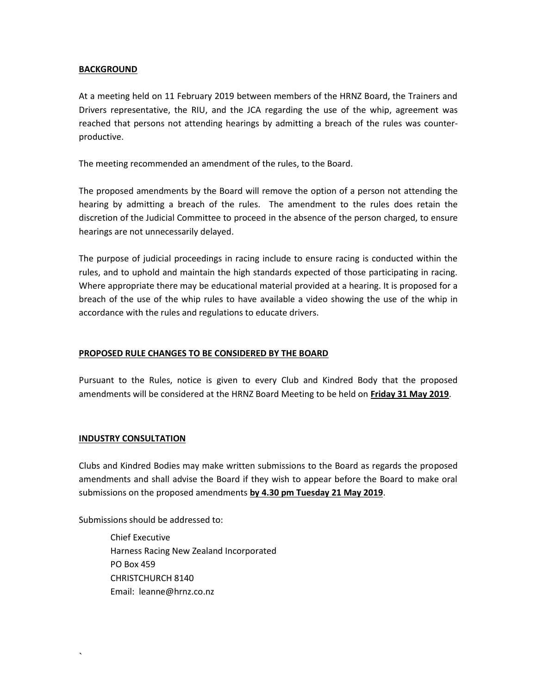#### **BACKGROUND**

At a meeting held on 11 February 2019 between members of the HRNZ Board, the Trainers and Drivers representative, the RIU, and the JCA regarding the use of the whip, agreement was reached that persons not attending hearings by admitting a breach of the rules was counter productive.

The meeting recommended an amendment of the rules, to the Board.

The proposed amendments by the Board will remove the option of a person not attending the hearing by admitting a breach of the rules. The amendment to the rules does retain the discretion of the Judicial Committee to proceed in the absence of the person charged, to ensure hearings are not unnecessarily delayed.

The purpose of judicial proceedings in racing include to ensure racing is conducted within the rules, and to uphold and maintain the high standards expected of those participating in racing. Where appropriate there may be educational material provided at a hearing. It is proposed for a breach of the use of the whip rules to have available a video showing the use of the whip in accordance with the rules and regulations to educate drivers.

#### **PROPOSED RULE CHANGES TO BE CONSIDERED BY THE BOARD**

Pursuant to the Rules, notice is given to every Club and Kindred Body that the proposed amendments will be considered at the HRNZ Board Meeting to be held on **Friday 31 May 2019**.

#### **INDUSTRY CONSULTATION**

 $\sum_{i=1}^n \alpha_i$ 

Clubs and Kindred Bodies may make written submissions to the Board as regards the proposed amendments and shall advise the Board if they wish to appear before the Board to make oral submissions on the proposed amendments **by 4.30 pm Tuesday 21 May 2019**.

Submissions should be addressed to:

Chief Executive Harness Racing New Zealand Incorporated PO Box 459 CHRISTCHURCH 8140 Email: leanne@hrnz.co.nz